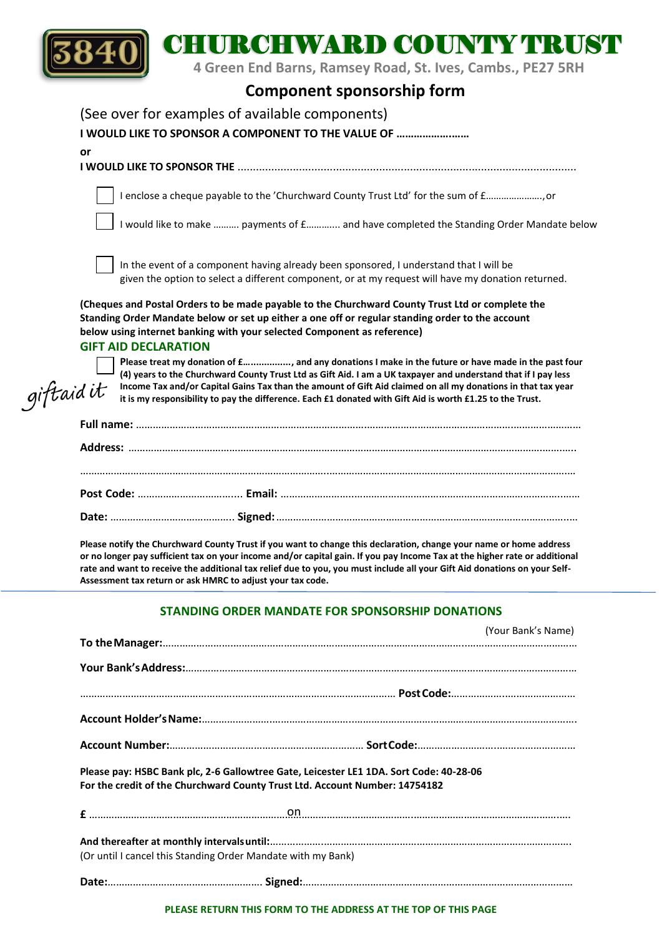

## CHURCHWARD COUNTY TRUST

 **4 Green End Barns, Ramsey Road, St. Ives, Cambs., PE27 5RH**

## **Component sponsorship form**

|            | (See over for examples of available components)                                                                                                                                                                                                                                                                                                                                                                                                                                   |
|------------|-----------------------------------------------------------------------------------------------------------------------------------------------------------------------------------------------------------------------------------------------------------------------------------------------------------------------------------------------------------------------------------------------------------------------------------------------------------------------------------|
|            | I WOULD LIKE TO SPONSOR A COMPONENT TO THE VALUE OF                                                                                                                                                                                                                                                                                                                                                                                                                               |
|            | or                                                                                                                                                                                                                                                                                                                                                                                                                                                                                |
|            |                                                                                                                                                                                                                                                                                                                                                                                                                                                                                   |
|            | I enclose a cheque payable to the 'Churchward County Trust Ltd' for the sum of f, or                                                                                                                                                                                                                                                                                                                                                                                              |
|            | I would like to make  payments of £ and have completed the Standing Order Mandate below                                                                                                                                                                                                                                                                                                                                                                                           |
|            | In the event of a component having already been sponsored, I understand that I will be<br>given the option to select a different component, or at my request will have my donation returned.                                                                                                                                                                                                                                                                                      |
|            | (Cheques and Postal Orders to be made payable to the Churchward County Trust Ltd or complete the<br>Standing Order Mandate below or set up either a one off or regular standing order to the account<br>below using internet banking with your selected Component as reference)                                                                                                                                                                                                   |
| giftaid it | <b>GIFT AID DECLARATION</b><br>Please treat my donation of £, and any donations I make in the future or have made in the past four<br>(4) years to the Churchward County Trust Ltd as Gift Aid. I am a UK taxpayer and understand that if I pay less<br>Income Tax and/or Capital Gains Tax than the amount of Gift Aid claimed on all my donations in that tax year<br>it is my responsibility to pay the difference. Each £1 donated with Gift Aid is worth £1.25 to the Trust. |
|            |                                                                                                                                                                                                                                                                                                                                                                                                                                                                                   |
|            |                                                                                                                                                                                                                                                                                                                                                                                                                                                                                   |
|            |                                                                                                                                                                                                                                                                                                                                                                                                                                                                                   |
|            |                                                                                                                                                                                                                                                                                                                                                                                                                                                                                   |
|            | Please notify the Churchward County Trust if you want to change this declaration, change your name or home address<br>or no longer pay sufficient tax on your income and/or capital gain. If you pay Income Tax at the higher rate or additional<br>rate and want to receive the additional tax relief due to you, you must include all your Gift Aid donations on your Self-<br>Assessment tax return or ask HMRC to adjust your tax code.                                       |

## **STANDING ORDER MANDATE FOR SPONSORSHIP DONATIONS**

|                                                                                                                                                                       | (Your Bank's Name) |  |  |  |  |  |  |
|-----------------------------------------------------------------------------------------------------------------------------------------------------------------------|--------------------|--|--|--|--|--|--|
|                                                                                                                                                                       |                    |  |  |  |  |  |  |
|                                                                                                                                                                       |                    |  |  |  |  |  |  |
|                                                                                                                                                                       |                    |  |  |  |  |  |  |
|                                                                                                                                                                       |                    |  |  |  |  |  |  |
|                                                                                                                                                                       |                    |  |  |  |  |  |  |
| Please pay: HSBC Bank plc, 2-6 Gallowtree Gate, Leicester LE1 1DA. Sort Code: 40-28-06<br>For the credit of the Churchward County Trust Ltd. Account Number: 14754182 |                    |  |  |  |  |  |  |
|                                                                                                                                                                       |                    |  |  |  |  |  |  |
|                                                                                                                                                                       |                    |  |  |  |  |  |  |
| (Or until I cancel this Standing Order Mandate with my Bank)                                                                                                          |                    |  |  |  |  |  |  |
|                                                                                                                                                                       |                    |  |  |  |  |  |  |

**PLEASE RETURN THIS FORM TO THE ADDRESS AT THE TOP OF THIS PAGE**